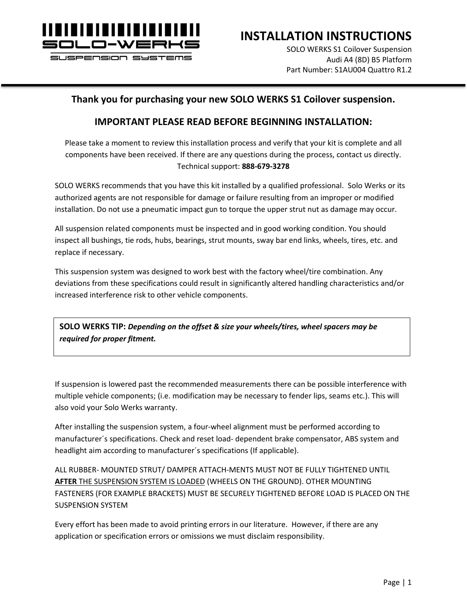

SI ISPENSION SYSTEMS

**INSTALLATION INSTRUCTIONS**

SOLO WERKS S1 Coilover Suspension Audi A4 (8D) B5 Platform Part Number: S1AU004 Quattro R1.2

#### **Thank you for purchasing your new SOLO WERKS S1 Coilover suspension.**

#### **IMPORTANT PLEASE READ BEFORE BEGINNING INSTALLATION:**

Please take a moment to review this installation process and verify that your kit is complete and all components have been received. If there are any questions during the process, contact us directly. Technical support: **888-679-3278**

SOLO WERKS recommends that you have this kit installed by a qualified professional. Solo Werks or its authorized agents are not responsible for damage or failure resulting from an improper or modified installation. Do not use a pneumatic impact gun to torque the upper strut nut as damage may occur.

All suspension related components must be inspected and in good working condition. You should inspect all bushings, tie rods, hubs, bearings, strut mounts, sway bar end links, wheels, tires, etc. and replace if necessary.

This suspension system was designed to work best with the factory wheel/tire combination. Any deviations from these specifications could result in significantly altered handling characteristics and/or increased interference risk to other vehicle components.

**SOLO WERKS TIP:** *Depending on the offset & size your wheels/tires, wheel spacers may be required for proper fitment.*

If suspension is lowered past the recommended measurements there can be possible interference with multiple vehicle components; (i.e. modification may be necessary to fender lips, seams etc.). This will also void your Solo Werks warranty.

After installing the suspension system, a four-wheel alignment must be performed according to manufacturer´s specifications. Check and reset load- dependent brake compensator, ABS system and headlight aim according to manufacturer´s specifications (If applicable).

ALL RUBBER- MOUNTED STRUT/ DAMPER ATTACH-MENTS MUST NOT BE FULLY TIGHTENED UNTIL **AFTER** THE SUSPENSION SYSTEM IS LOADED (WHEELS ON THE GROUND). OTHER MOUNTING FASTENERS (FOR EXAMPLE BRACKETS) MUST BE SECURELY TIGHTENED BEFORE LOAD IS PLACED ON THE SUSPENSION SYSTEM

Every effort has been made to avoid printing errors in our literature. However, if there are any application or specification errors or omissions we must disclaim responsibility.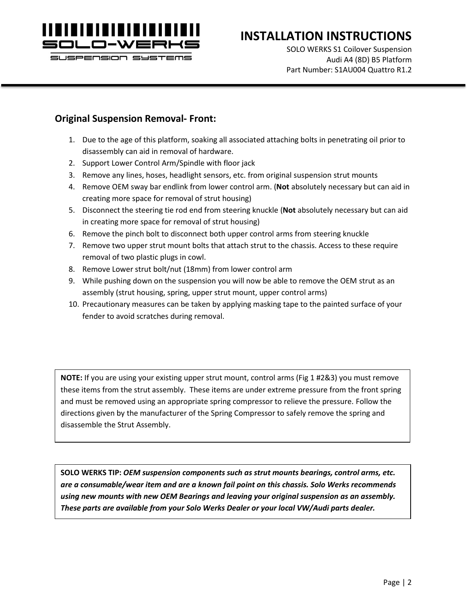

#### SUSPENSION SYSTEMS

# **INSTALLATION INSTRUCTIONS**

SOLO WERKS S1 Coilover Suspension Audi A4 (8D) B5 Platform Part Number: S1AU004 Quattro R1.2

#### **Original Suspension Removal- Front:**

- 1. Due to the age of this platform, soaking all associated attaching bolts in penetrating oil prior to disassembly can aid in removal of hardware.
- 2. Support Lower Control Arm/Spindle with floor jack
- 3. Remove any lines, hoses, headlight sensors, etc. from original suspension strut mounts
- 4. Remove OEM sway bar endlink from lower control arm. (**Not** absolutely necessary but can aid in creating more space for removal of strut housing)
- 5. Disconnect the steering tie rod end from steering knuckle (**Not** absolutely necessary but can aid in creating more space for removal of strut housing)
- 6. Remove the pinch bolt to disconnect both upper control arms from steering knuckle
- 7. Remove two upper strut mount bolts that attach strut to the chassis. Access to these require removal of two plastic plugs in cowl.
- 8. Remove Lower strut bolt/nut (18mm) from lower control arm
- 9. While pushing down on the suspension you will now be able to remove the OEM strut as an assembly (strut housing, spring, upper strut mount, upper control arms)
- 10. Precautionary measures can be taken by applying masking tape to the painted surface of your fender to avoid scratches during removal.

**NOTE:** If you are using your existing upper strut mount, control arms (Fig 1 #2&3) you must remove these items from the strut assembly. These items are under extreme pressure from the front spring and must be removed using an appropriate spring compressor to relieve the pressure. Follow the directions given by the manufacturer of the Spring Compressor to safely remove the spring and disassemble the Strut Assembly.

**SOLO WERKS TIP:** *OEM suspension components such as strut mounts bearings, control arms, etc. are a consumable/wear item and are a known fail point on this chassis. Solo Werks recommends using new mounts with new OEM Bearings and leaving your original suspension as an assembly. These parts are available from your Solo Werks Dealer or your local VW/Audi parts dealer.*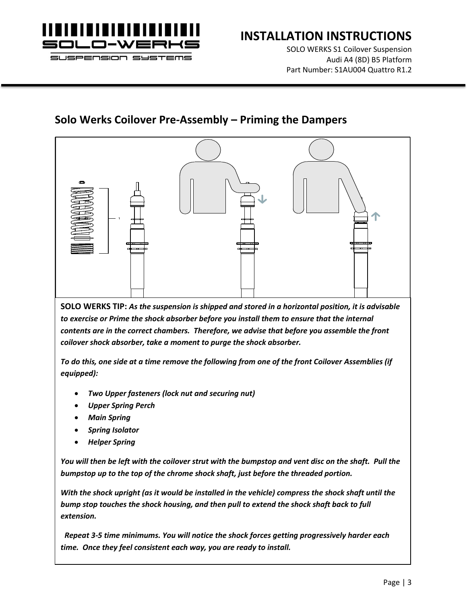

SOLO WERKS S1 Coilover Suspension Audi A4 (8D) B5 Platform Part Number: S1AU004 Quattro R1.2



#### **Solo Werks Coilover Pre-Assembly – Priming the Dampers**

**SOLO WERKS TIP:** *As the suspension is shipped and stored in a horizontal position, it is advisable*  to exercise or Prime the shock absorber before you install them to ensure that the internal *contents are in the correct chambers. Therefore, we advise that before you assemble the front coilover shock absorber, take a moment to purge the shock absorber.* 

*To do this, one side at a time remove the following from one of the front Coilover Assemblies (if equipped):*

- *Two Upper fasteners (lock nut and securing nut)*
- *Upper Spring Perch*
- *Main Spring*
- *Spring Isolator*
- *Helper Spring*

*You will then be left with the coilover strut with the bumpstop and vent disc on the shaft. Pull the bumpstop up to the top of the chrome shock shaft, just before the threaded portion.* 

*With the shock upright (as it would be installed in the vehicle) compress the shock shaft until the bump stop touches the shock housing, and then pull to extend the shock shaft back to full extension.*

 *Repeat 3-5 time minimums. You will notice the shock forces getting progressively harder each time. Once they feel consistent each way, you are ready to install.*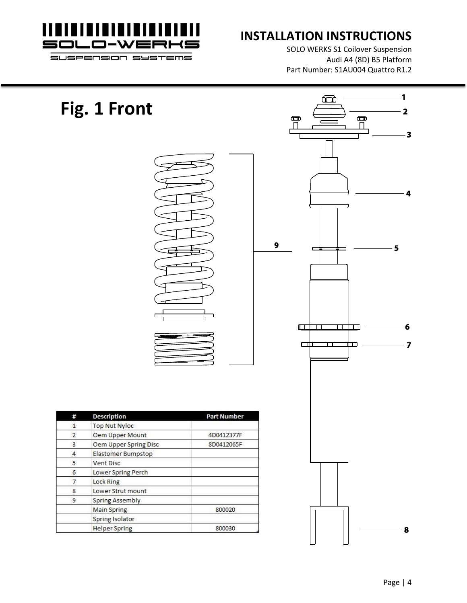

æ

SOLO WERKS S1 Coilover Suspension Audi A4 (8D) B5 Platform Part Number: S1AU004 Quattro R1.2

 $\mathbf{1}$ 

# **Fig. 1 Front**

**Description** 

Vent Disc

Lock Ring

Top Nut Nyloc

Oem Upper Mount

Lower Spring Perch

Lower Strut mount

**Spring Assembly Main Spring** 

**Spring Isolator Helper Spring** 

#  $\mathbf{1}$ 

 $\overline{2}$ 

 $\overline{3}$  $\overline{4}$ 

5

6

 $\overline{7}$ 

 $\overline{8}$  $\overline{9}$ 



800030

8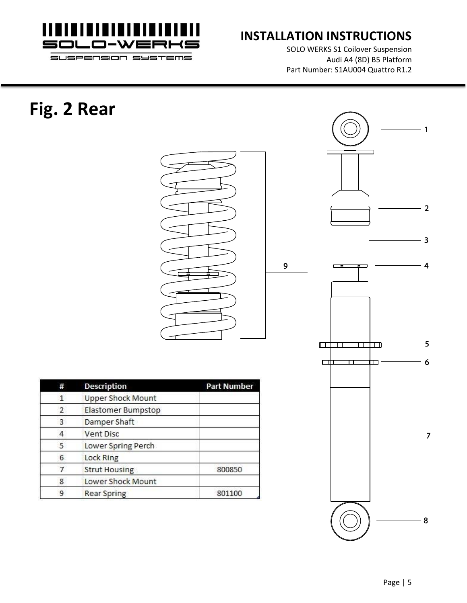

SOLO WERKS S1 Coilover Suspension Audi A4 (8D) B5 Platform Part Number: S1AU004 Quattro R1.2

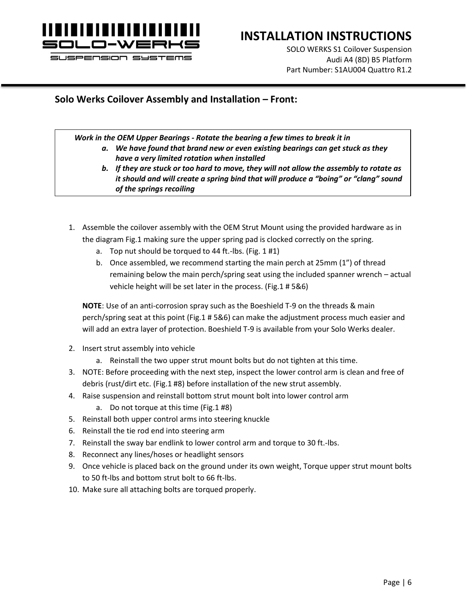

SOLO WERKS S1 Coilover Suspension Audi A4 (8D) B5 Platform Part Number: S1AU004 Quattro R1.2

**Solo Werks Coilover Assembly and Installation – Front:**

*Work in the OEM Upper Bearings - Rotate the bearing a few times to break it in a. We have found that brand new or even existing bearings can get stuck as they have a very limited rotation when installed*

- *b. If they are stuck or too hard to move, they will not allow the assembly to rotate as it should and will create a spring bind that will produce a "boing" or "clang" sound of the springs recoiling*
- 1. Assemble the coilover assembly with the OEM Strut Mount using the provided hardware as in the diagram Fig.1 making sure the upper spring pad is clocked correctly on the spring.
	- a. Top nut should be torqued to 44 ft.-lbs. (Fig. 1 #1)
	- b. Once assembled, we recommend starting the main perch at 25mm (1") of thread remaining below the main perch/spring seat using the included spanner wrench – actual vehicle height will be set later in the process. (Fig.1 # 5&6)

**NOTE**: Use of an anti-corrosion spray such as the Boeshield T-9 on the threads & main perch/spring seat at this point (Fig.1 # 5&6) can make the adjustment process much easier and will add an extra layer of protection. Boeshield T-9 is available from your Solo Werks dealer.

- 2. Insert strut assembly into vehicle
	- a. Reinstall the two upper strut mount bolts but do not tighten at this time.
- 3. NOTE: Before proceeding with the next step, inspect the lower control arm is clean and free of debris (rust/dirt etc. (Fig.1 #8) before installation of the new strut assembly.
- 4. Raise suspension and reinstall bottom strut mount bolt into lower control arm
	- a. Do not torque at this time (Fig.1 #8)
- 5. Reinstall both upper control arms into steering knuckle
- 6. Reinstall the tie rod end into steering arm
- 7. Reinstall the sway bar endlink to lower control arm and torque to 30 ft.-lbs.
- 8. Reconnect any lines/hoses or headlight sensors
- 9. Once vehicle is placed back on the ground under its own weight, Torque upper strut mount bolts to 50 ft-lbs and bottom strut bolt to 66 ft-lbs.
- 10. Make sure all attaching bolts are torqued properly.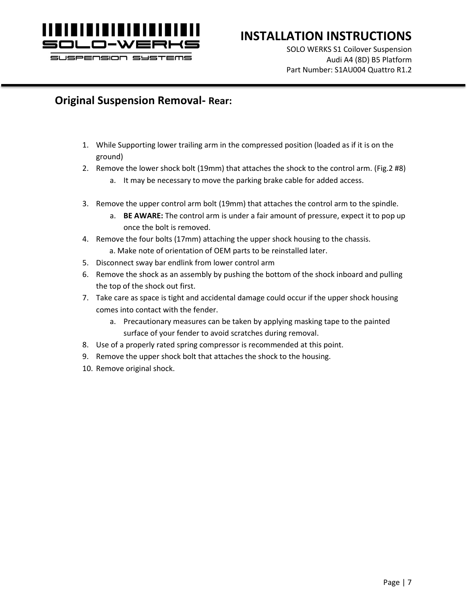

SOLO WERKS S1 Coilover Suspension Audi A4 (8D) B5 Platform Part Number: S1AU004 Quattro R1.2

#### **Original Suspension Removal- Rear:**

- 1. While Supporting lower trailing arm in the compressed position (loaded as if it is on the ground)
- 2. Remove the lower shock bolt (19mm) that attaches the shock to the control arm. (Fig.2 #8)
	- a. It may be necessary to move the parking brake cable for added access.
- 3. Remove the upper control arm bolt (19mm) that attaches the control arm to the spindle.
	- a. **BE AWARE:** The control arm is under a fair amount of pressure, expect it to pop up once the bolt is removed.
- 4. Remove the four bolts (17mm) attaching the upper shock housing to the chassis.
	- a. Make note of orientation of OEM parts to be reinstalled later.
- 5. Disconnect sway bar endlink from lower control arm
- 6. Remove the shock as an assembly by pushing the bottom of the shock inboard and pulling the top of the shock out first.
- 7. Take care as space is tight and accidental damage could occur if the upper shock housing comes into contact with the fender.
	- a. Precautionary measures can be taken by applying masking tape to the painted surface of your fender to avoid scratches during removal.
- 8. Use of a properly rated spring compressor is recommended at this point.
- 9. Remove the upper shock bolt that attaches the shock to the housing.
- 10. Remove original shock.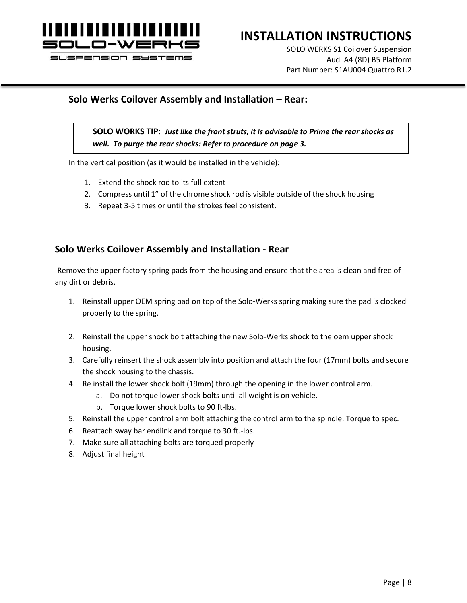

SOLO WERKS S1 Coilover Suspension Audi A4 (8D) B5 Platform Part Number: S1AU004 Quattro R1.2

#### **Solo Werks Coilover Assembly and Installation – Rear:**

**SOLO WORKS TIP:** *Just like the front struts, it is advisable to Prime the rear shocks as well. To purge the rear shocks: Refer to procedure on page 3.*

In the vertical position (as it would be installed in the vehicle):

- 1. Extend the shock rod to its full extent
- 2. Compress until 1" of the chrome shock rod is visible outside of the shock housing
- 3. Repeat 3-5 times or until the strokes feel consistent.

#### **Solo Werks Coilover Assembly and Installation - Rear**

Remove the upper factory spring pads from the housing and ensure that the area is clean and free of any dirt or debris.

- 1. Reinstall upper OEM spring pad on top of the Solo-Werks spring making sure the pad is clocked properly to the spring.
- 2. Reinstall the upper shock bolt attaching the new Solo-Werks shock to the oem upper shock housing.
- 3. Carefully reinsert the shock assembly into position and attach the four (17mm) bolts and secure the shock housing to the chassis.
- 4. Re install the lower shock bolt (19mm) through the opening in the lower control arm.
	- a. Do not torque lower shock bolts until all weight is on vehicle.
	- b. Torque lower shock bolts to 90 ft-lbs.
- 5. Reinstall the upper control arm bolt attaching the control arm to the spindle. Torque to spec.
- 6. Reattach sway bar endlink and torque to 30 ft.-lbs.
- 7. Make sure all attaching bolts are torqued properly
- 8. Adjust final height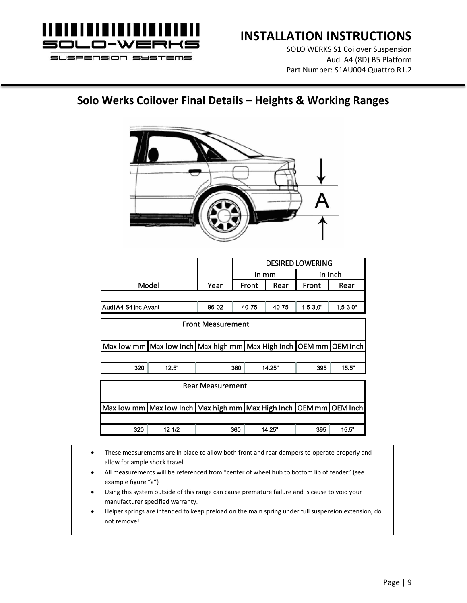

SOLO WERKS S1 Coilover Suspension Audi A4 (8D) B5 Platform Part Number: S1AU004 Quattro R1.2

#### **Solo Werks Coilover Final Details – Heights & Working Ranges**



|                      |       | <b>DESIRED LOWERING</b> |       |              |              |
|----------------------|-------|-------------------------|-------|--------------|--------------|
|                      |       | in mm                   |       | in inch      |              |
| Model                | Year  | <b>Front</b>            | Rear  | <b>Front</b> | Rear         |
|                      |       |                         |       |              |              |
| Audi A4 S4 inc Avant | 96-02 | 40-75                   | 40-75 | $1.5 - 3.0"$ | $1.5 - 3.0"$ |

| <b>Front Measurement</b> |       |     |                                                                             |     |       |  |  |
|--------------------------|-------|-----|-----------------------------------------------------------------------------|-----|-------|--|--|
|                          |       |     | Max low mm   Max low Inch   Max high mm   Max High Inch   OEM mm   OEM Inch |     |       |  |  |
|                          |       |     |                                                                             |     |       |  |  |
| 320                      | 12.5" | 360 | 14.25"                                                                      | 395 | 15.5" |  |  |

| <b>Rear Measurement</b> |        |     |                                                                   |     |       |  |  |
|-------------------------|--------|-----|-------------------------------------------------------------------|-----|-------|--|--|
|                         |        |     | Max low mm Max low Inch Max high mm Max High Inch OEM mm OEM Inch |     |       |  |  |
|                         |        |     |                                                                   |     |       |  |  |
| 320                     | 12 1/2 | 360 | 14.25"                                                            | 395 | 15.5" |  |  |

- These measurements are in place to allow both front and rear dampers to operate properly and allow for ample shock travel.
- All measurements will be referenced from "center of wheel hub to bottom lip of fender" (see example figure "a")
- Using this system outside of this range can cause premature failure and is cause to void your manufacturer specified warranty.
- Helper springs are intended to keep preload on the main spring under full suspension extension, do not remove!